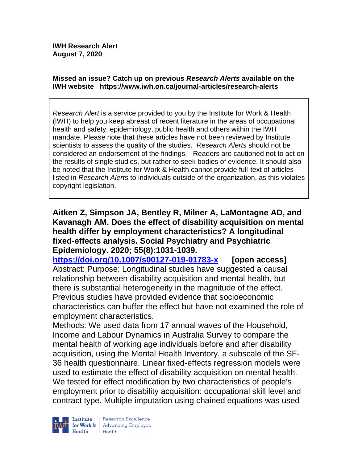#### **Missed an issue? Catch up on previous** *Research Alerts* **available on the [IWH website](http://www.iwh.on.ca/research-alerts) <https://www.iwh.on.ca/journal-articles/research-alerts>**

*Research Alert* is a service provided to you by the Institute for Work & Health (IWH) to help you keep abreast of recent literature in the areas of occupational health and safety, epidemiology, public health and others within the IWH mandate. Please note that these articles have not been reviewed by Institute scientists to assess the quality of the studies. *Research Alerts* should not be considered an endorsement of the findings. Readers are cautioned not to act on the results of single studies, but rather to seek bodies of evidence. It should also be noted that the Institute for Work & Health cannot provide full-text of articles listed in *Research Alerts* to individuals outside of the organization, as this violates copyright legislation.

**Aitken Z, Simpson JA, Bentley R, Milner A, LaMontagne AD, and Kavanagh AM. Does the effect of disability acquisition on mental health differ by employment characteristics? A longitudinal fixed-effects analysis. Social Psychiatry and Psychiatric Epidemiology. 2020; 55(8):1031-1039.** 

**<https://doi.org/10.1007/s00127-019-01783-x> [open access]** Abstract: Purpose: Longitudinal studies have suggested a causal relationship between disability acquisition and mental health, but there is substantial heterogeneity in the magnitude of the effect. Previous studies have provided evidence that socioeconomic characteristics can buffer the effect but have not examined the role of employment characteristics.

Methods: We used data from 17 annual waves of the Household, Income and Labour Dynamics in Australia Survey to compare the mental health of working age individuals before and after disability acquisition, using the Mental Health Inventory, a subscale of the SF-36 health questionnaire. Linear fixed-effects regression models were used to estimate the effect of disability acquisition on mental health. We tested for effect modification by two characteristics of people's employment prior to disability acquisition: occupational skill level and contract type. Multiple imputation using chained equations was used



Research Excellence for Work & | Advancing Employee  $H$ ealth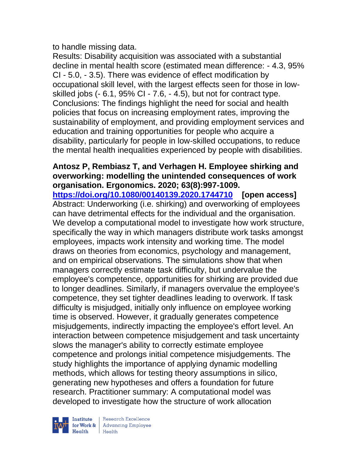to handle missing data.

Results: Disability acquisition was associated with a substantial decline in mental health score (estimated mean difference: - 4.3, 95% CI - 5.0, - 3.5). There was evidence of effect modification by occupational skill level, with the largest effects seen for those in lowskilled jobs (- 6.1, 95% CI - 7.6, - 4.5), but not for contract type. Conclusions: The findings highlight the need for social and health policies that focus on increasing employment rates, improving the sustainability of employment, and providing employment services and education and training opportunities for people who acquire a disability, particularly for people in low-skilled occupations, to reduce the mental health inequalities experienced by people with disabilities.

#### **Antosz P, Rembiasz T, and Verhagen H. Employee shirking and overworking: modelling the unintended consequences of work organisation. Ergonomics. 2020; 63(8):997-1009.**

**<https://doi.org/10.1080/00140139.2020.1744710> [open access]** Abstract: Underworking (i.e. shirking) and overworking of employees can have detrimental effects for the individual and the organisation. We develop a computational model to investigate how work structure, specifically the way in which managers distribute work tasks amongst employees, impacts work intensity and working time. The model draws on theories from economics, psychology and management, and on empirical observations. The simulations show that when managers correctly estimate task difficulty, but undervalue the employee's competence, opportunities for shirking are provided due to longer deadlines. Similarly, if managers overvalue the employee's competence, they set tighter deadlines leading to overwork. If task difficulty is misjudged, initially only influence on employee working time is observed. However, it gradually generates competence misjudgements, indirectly impacting the employee's effort level. An interaction between competence misjudgement and task uncertainty slows the manager's ability to correctly estimate employee competence and prolongs initial competence misjudgements. The study highlights the importance of applying dynamic modelling methods, which allows for testing theory assumptions in silico, generating new hypotheses and offers a foundation for future research. Practitioner summary: A computational model was developed to investigate how the structure of work allocation



Institute Research Excellence<br>
for Work & Advancing Employee<br>
Health<br>
Health Health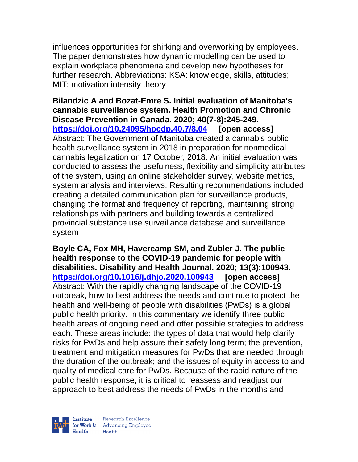influences opportunities for shirking and overworking by employees. The paper demonstrates how dynamic modelling can be used to explain workplace phenomena and develop new hypotheses for further research. Abbreviations: KSA: knowledge, skills, attitudes; MIT: motivation intensity theory

**Bilandzic A and Bozat-Emre S. Initial evaluation of Manitoba's cannabis surveillance system. Health Promotion and Chronic Disease Prevention in Canada. 2020; 40(7-8):245-249. <https://doi.org/10.24095/hpcdp.40.7/8.04> [open access]** Abstract: The Government of Manitoba created a cannabis public health surveillance system in 2018 in preparation for nonmedical cannabis legalization on 17 October, 2018. An initial evaluation was conducted to assess the usefulness, flexibility and simplicity attributes of the system, using an online stakeholder survey, website metrics, system analysis and interviews. Resulting recommendations included creating a detailed communication plan for surveillance products, changing the format and frequency of reporting, maintaining strong relationships with partners and building towards a centralized provincial substance use surveillance database and surveillance system

**Boyle CA, Fox MH, Havercamp SM, and Zubler J. The public health response to the COVID-19 pandemic for people with disabilities. Disability and Health Journal. 2020; 13(3):100943. <https://doi.org/10.1016/j.dhjo.2020.100943> [open access]** Abstract: With the rapidly changing landscape of the COVID-19 outbreak, how to best address the needs and continue to protect the health and well-being of people with disabilities (PwDs) is a global public health priority. In this commentary we identify three public health areas of ongoing need and offer possible strategies to address each. These areas include: the types of data that would help clarify risks for PwDs and help assure their safety long term; the prevention, treatment and mitigation measures for PwDs that are needed through the duration of the outbreak; and the issues of equity in access to and quality of medical care for PwDs. Because of the rapid nature of the public health response, it is critical to reassess and readjust our approach to best address the needs of PwDs in the months and



| Research Excellence for Work & Advancing Employee<br>Health Health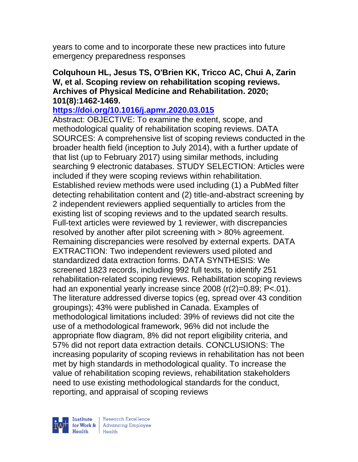years to come and to incorporate these new practices into future emergency preparedness responses

### **Colquhoun HL, Jesus TS, O'Brien KK, Tricco AC, Chui A, Zarin W, et al. Scoping review on rehabilitation scoping reviews. Archives of Physical Medicine and Rehabilitation. 2020; 101(8):1462-1469.**

### **<https://doi.org/10.1016/j.apmr.2020.03.015>**

Abstract: OBJECTIVE: To examine the extent, scope, and methodological quality of rehabilitation scoping reviews. DATA SOURCES: A comprehensive list of scoping reviews conducted in the broader health field (inception to July 2014), with a further update of that list (up to February 2017) using similar methods, including searching 9 electronic databases. STUDY SELECTION: Articles were included if they were scoping reviews within rehabilitation. Established review methods were used including (1) a PubMed filter detecting rehabilitation content and (2) title-and-abstract screening by 2 independent reviewers applied sequentially to articles from the existing list of scoping reviews and to the updated search results. Full-text articles were reviewed by 1 reviewer, with discrepancies resolved by another after pilot screening with > 80% agreement. Remaining discrepancies were resolved by external experts. DATA EXTRACTION: Two independent reviewers used piloted and standardized data extraction forms. DATA SYNTHESIS: We screened 1823 records, including 992 full texts, to identify 251 rehabilitation-related scoping reviews. Rehabilitation scoping reviews had an exponential yearly increase since 2008 (r(2)=0.89; P<.01). The literature addressed diverse topics (eg, spread over 43 condition groupings); 43% were published in Canada. Examples of methodological limitations included: 39% of reviews did not cite the use of a methodological framework, 96% did not include the appropriate flow diagram, 8% did not report eligibility criteria, and 57% did not report data extraction details. CONCLUSIONS: The increasing popularity of scoping reviews in rehabilitation has not been met by high standards in methodological quality. To increase the value of rehabilitation scoping reviews, rehabilitation stakeholders need to use existing methodological standards for the conduct, reporting, and appraisal of scoping reviews

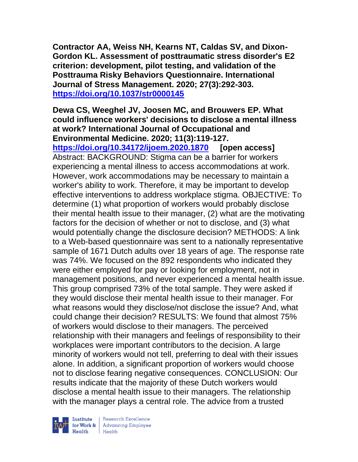**Contractor AA, Weiss NH, Kearns NT, Caldas SV, and Dixon-Gordon KL. Assessment of posttraumatic stress disorder's E2 criterion: development, pilot testing, and validation of the Posttrauma Risky Behaviors Questionnaire. International Journal of Stress Management. 2020; 27(3):292-303. <https://doi.org/10.1037/str0000145>** 

# **Dewa CS, Weeghel JV, Joosen MC, and Brouwers EP. What could influence workers' decisions to disclose a mental illness at work? International Journal of Occupational and Environmental Medicine. 2020; 11(3):119-127.**

**<https://doi.org/10.34172/ijoem.2020.1870> [open access]** Abstract: BACKGROUND: Stigma can be a barrier for workers experiencing a mental illness to access accommodations at work. However, work accommodations may be necessary to maintain a worker's ability to work. Therefore, it may be important to develop effective interventions to address workplace stigma. OBJECTIVE: To determine (1) what proportion of workers would probably disclose their mental health issue to their manager, (2) what are the motivating factors for the decision of whether or not to disclose, and (3) what would potentially change the disclosure decision? METHODS: A link to a Web-based questionnaire was sent to a nationally representative sample of 1671 Dutch adults over 18 years of age. The response rate was 74%. We focused on the 892 respondents who indicated they were either employed for pay or looking for employment, not in management positions, and never experienced a mental health issue. This group comprised 73% of the total sample. They were asked if they would disclose their mental health issue to their manager. For what reasons would they disclose/not disclose the issue? And, what could change their decision? RESULTS: We found that almost 75% of workers would disclose to their managers. The perceived relationship with their managers and feelings of responsibility to their workplaces were important contributors to the decision. A large minority of workers would not tell, preferring to deal with their issues alone. In addition, a significant proportion of workers would choose not to disclose fearing negative consequences. CONCLUSION: Our results indicate that the majority of these Dutch workers would disclose a mental health issue to their managers. The relationship with the manager plays a central role. The advice from a trusted



| Research Excellence for Work & Advancing Employee<br>Health Health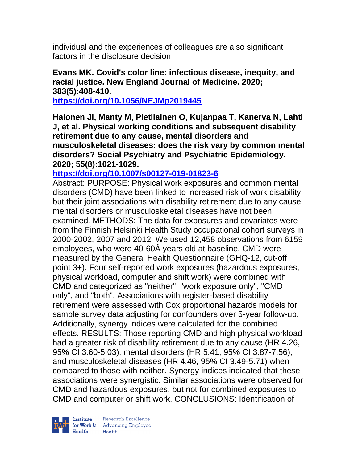individual and the experiences of colleagues are also significant factors in the disclosure decision

### **Evans MK. Covid's color line: infectious disease, inequity, and racial justice. New England Journal of Medicine. 2020; 383(5):408-410.**

**<https://doi.org/10.1056/NEJMp2019445>** 

**Halonen JI, Manty M, Pietilainen O, Kujanpaa T, Kanerva N, Lahti J, et al. Physical working conditions and subsequent disability retirement due to any cause, mental disorders and musculoskeletal diseases: does the risk vary by common mental disorders? Social Psychiatry and Psychiatric Epidemiology. 2020; 55(8):1021-1029.** 

### **<https://doi.org/10.1007/s00127-019-01823-6>**

Abstract: PURPOSE: Physical work exposures and common mental disorders (CMD) have been linked to increased risk of work disability, but their joint associations with disability retirement due to any cause, mental disorders or musculoskeletal diseases have not been examined. METHODS: The data for exposures and covariates were from the Finnish Helsinki Health Study occupational cohort surveys in 2000-2002, 2007 and 2012. We used 12,458 observations from 6159 employees, who were 40-60Â years old at baseline. CMD were measured by the General Health Questionnaire (GHQ-12, cut-off point 3+). Four self-reported work exposures (hazardous exposures, physical workload, computer and shift work) were combined with CMD and categorized as "neither", "work exposure only", "CMD only", and "both". Associations with register-based disability retirement were assessed with Cox proportional hazards models for sample survey data adjusting for confounders over 5-year follow-up. Additionally, synergy indices were calculated for the combined effects. RESULTS: Those reporting CMD and high physical workload had a greater risk of disability retirement due to any cause (HR 4.26, 95% CI 3.60-5.03), mental disorders (HR 5.41, 95% CI 3.87-7.56), and musculoskeletal diseases (HR 4.46, 95% CI 3.49-5.71) when compared to those with neither. Synergy indices indicated that these associations were synergistic. Similar associations were observed for CMD and hazardous exposures, but not for combined exposures to CMD and computer or shift work. CONCLUSIONS: Identification of

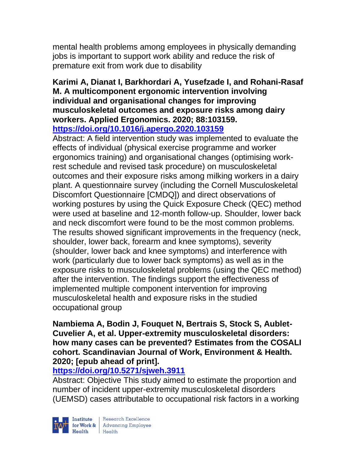mental health problems among employees in physically demanding jobs is important to support work ability and reduce the risk of premature exit from work due to disability

#### **Karimi A, Dianat I, Barkhordari A, Yusefzade I, and Rohani-Rasaf M. A multicomponent ergonomic intervention involving individual and organisational changes for improving musculoskeletal outcomes and exposure risks among dairy workers. Applied Ergonomics. 2020; 88:103159. <https://doi.org/10.1016/j.apergo.2020.103159>**

Abstract: A field intervention study was implemented to evaluate the effects of individual (physical exercise programme and worker ergonomics training) and organisational changes (optimising workrest schedule and revised task procedure) on musculoskeletal outcomes and their exposure risks among milking workers in a dairy plant. A questionnaire survey (including the Cornell Musculoskeletal Discomfort Questionnaire [CMDQ]) and direct observations of working postures by using the Quick Exposure Check (QEC) method were used at baseline and 12-month follow-up. Shoulder, lower back and neck discomfort were found to be the most common problems. The results showed significant improvements in the frequency (neck, shoulder, lower back, forearm and knee symptoms), severity (shoulder, lower back and knee symptoms) and interference with work (particularly due to lower back symptoms) as well as in the exposure risks to musculoskeletal problems (using the QEC method) after the intervention. The findings support the effectiveness of implemented multiple component intervention for improving musculoskeletal health and exposure risks in the studied occupational group

### **Nambiema A, Bodin J, Fouquet N, Bertrais S, Stock S, Aublet-Cuvelier A, et al. Upper-extremity musculoskeletal disorders: how many cases can be prevented? Estimates from the COSALI cohort. Scandinavian Journal of Work, Environment & Health. 2020; [epub ahead of print].**

# **<https://doi.org/10.5271/sjweh.3911>**

Abstract: Objective This study aimed to estimate the proportion and number of incident upper-extremity musculoskeletal disorders (UEMSD) cases attributable to occupational risk factors in a working

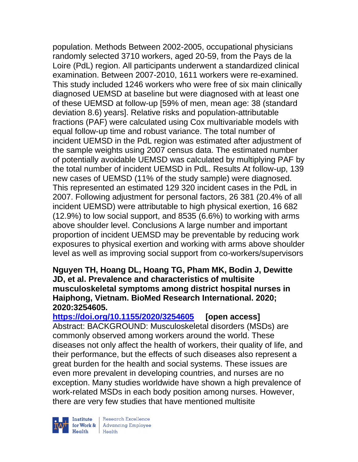population. Methods Between 2002-2005, occupational physicians randomly selected 3710 workers, aged 20-59, from the Pays de la Loire (PdL) region. All participants underwent a standardized clinical examination. Between 2007-2010, 1611 workers were re-examined. This study included 1246 workers who were free of six main clinically diagnosed UEMSD at baseline but were diagnosed with at least one of these UEMSD at follow-up [59% of men, mean age: 38 (standard deviation 8.6) years]. Relative risks and population-attributable fractions (PAF) were calculated using Cox multivariable models with equal follow-up time and robust variance. The total number of incident UEMSD in the PdL region was estimated after adjustment of the sample weights using 2007 census data. The estimated number of potentially avoidable UEMSD was calculated by multiplying PAF by the total number of incident UEMSD in PdL. Results At follow-up, 139 new cases of UEMSD (11% of the study sample) were diagnosed. This represented an estimated 129 320 incident cases in the PdL in 2007. Following adjustment for personal factors, 26 381 (20.4% of all incident UEMSD) were attributable to high physical exertion, 16 682 (12.9%) to low social support, and 8535 (6.6%) to working with arms above shoulder level. Conclusions A large number and important proportion of incident UEMSD may be preventable by reducing work exposures to physical exertion and working with arms above shoulder level as well as improving social support from co-workers/supervisors

### **Nguyen TH, Hoang DL, Hoang TG, Pham MK, Bodin J, Dewitte JD, et al. Prevalence and characteristics of multisite musculoskeletal symptoms among district hospital nurses in Haiphong, Vietnam. BioMed Research International. 2020; 2020:3254605.**

**<https://doi.org/10.1155/2020/3254605> [open access]** Abstract: BACKGROUND: Musculoskeletal disorders (MSDs) are commonly observed among workers around the world. These diseases not only affect the health of workers, their quality of life, and their performance, but the effects of such diseases also represent a great burden for the health and social systems. These issues are even more prevalent in developing countries, and nurses are no exception. Many studies worldwide have shown a high prevalence of work-related MSDs in each body position among nurses. However, there are very few studies that have mentioned multisite



Research Excellence for Work & | Advancing Employee Health Health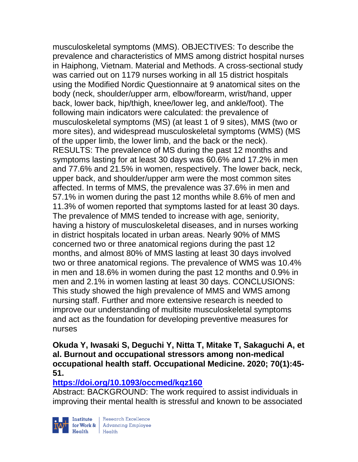musculoskeletal symptoms (MMS). OBJECTIVES: To describe the prevalence and characteristics of MMS among district hospital nurses in Haiphong, Vietnam. Material and Methods. A cross-sectional study was carried out on 1179 nurses working in all 15 district hospitals using the Modified Nordic Questionnaire at 9 anatomical sites on the body (neck, shoulder/upper arm, elbow/forearm, wrist/hand, upper back, lower back, hip/thigh, knee/lower leg, and ankle/foot). The following main indicators were calculated: the prevalence of musculoskeletal symptoms (MS) (at least 1 of 9 sites), MMS (two or more sites), and widespread musculoskeletal symptoms (WMS) (MS of the upper limb, the lower limb, and the back or the neck). RESULTS: The prevalence of MS during the past 12 months and symptoms lasting for at least 30 days was 60.6% and 17.2% in men and 77.6% and 21.5% in women, respectively. The lower back, neck, upper back, and shoulder/upper arm were the most common sites affected. In terms of MMS, the prevalence was 37.6% in men and 57.1% in women during the past 12 months while 8.6% of men and 11.3% of women reported that symptoms lasted for at least 30 days. The prevalence of MMS tended to increase with age, seniority, having a history of musculoskeletal diseases, and in nurses working in district hospitals located in urban areas. Nearly 90% of MMS concerned two or three anatomical regions during the past 12 months, and almost 80% of MMS lasting at least 30 days involved two or three anatomical regions. The prevalence of WMS was 10.4% in men and 18.6% in women during the past 12 months and 0.9% in men and 2.1% in women lasting at least 30 days. CONCLUSIONS: This study showed the high prevalence of MMS and WMS among nursing staff. Further and more extensive research is needed to improve our understanding of multisite musculoskeletal symptoms and act as the foundation for developing preventive measures for nurses

**Okuda Y, Iwasaki S, Deguchi Y, Nitta T, Mitake T, Sakaguchi A, et al. Burnout and occupational stressors among non-medical occupational health staff. Occupational Medicine. 2020; 70(1):45- 51.** 

# **<https://doi.org/10.1093/occmed/kqz160>**

Abstract: BACKGROUND: The work required to assist individuals in improving their mental health is stressful and known to be associated

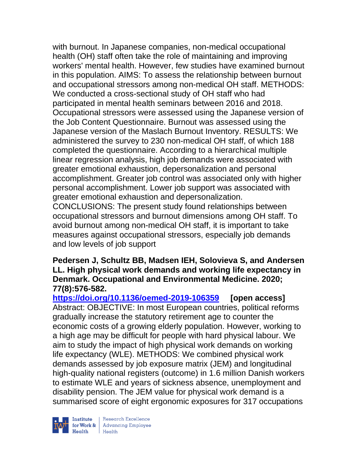with burnout. In Japanese companies, non-medical occupational health (OH) staff often take the role of maintaining and improving workers' mental health. However, few studies have examined burnout in this population. AIMS: To assess the relationship between burnout and occupational stressors among non-medical OH staff. METHODS: We conducted a cross-sectional study of OH staff who had participated in mental health seminars between 2016 and 2018. Occupational stressors were assessed using the Japanese version of the Job Content Questionnaire. Burnout was assessed using the Japanese version of the Maslach Burnout Inventory. RESULTS: We administered the survey to 230 non-medical OH staff, of which 188 completed the questionnaire. According to a hierarchical multiple linear regression analysis, high job demands were associated with greater emotional exhaustion, depersonalization and personal accomplishment. Greater job control was associated only with higher personal accomplishment. Lower job support was associated with greater emotional exhaustion and depersonalization. CONCLUSIONS: The present study found relationships between

occupational stressors and burnout dimensions among OH staff. To avoid burnout among non-medical OH staff, it is important to take measures against occupational stressors, especially job demands and low levels of job support

#### **Pedersen J, Schultz BB, Madsen IEH, Solovieva S, and Andersen LL. High physical work demands and working life expectancy in Denmark. Occupational and Environmental Medicine. 2020; 77(8):576-582.**

**<https://doi.org/10.1136/oemed-2019-106359> [open access]** Abstract: OBJECTIVE: In most European countries, political reforms gradually increase the statutory retirement age to counter the economic costs of a growing elderly population. However, working to a high age may be difficult for people with hard physical labour. We aim to study the impact of high physical work demands on working life expectancy (WLE). METHODS: We combined physical work demands assessed by job exposure matrix (JEM) and longitudinal high-quality national registers (outcome) in 1.6 million Danish workers to estimate WLE and years of sickness absence, unemployment and disability pension. The JEM value for physical work demand is a summarised score of eight ergonomic exposures for 317 occupations



| Research Excellence **Institute** Research Excellence<br> **Fractional Advancing Employee**<br> **Health** Health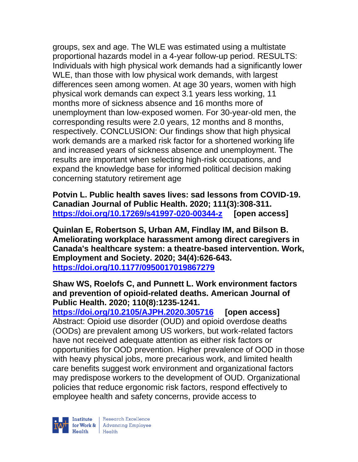groups, sex and age. The WLE was estimated using a multistate proportional hazards model in a 4-year follow-up period. RESULTS: Individuals with high physical work demands had a significantly lower WLE, than those with low physical work demands, with largest differences seen among women. At age 30 years, women with high physical work demands can expect 3.1 years less working, 11 months more of sickness absence and 16 months more of unemployment than low-exposed women. For 30-year-old men, the corresponding results were 2.0 years, 12 months and 8 months, respectively. CONCLUSION: Our findings show that high physical work demands are a marked risk factor for a shortened working life and increased years of sickness absence and unemployment. The results are important when selecting high-risk occupations, and expand the knowledge base for informed political decision making concerning statutory retirement age

**Potvin L. Public health saves lives: sad lessons from COVID-19. Canadian Journal of Public Health. 2020; 111(3):308-311. <https://doi.org/10.17269/s41997-020-00344-z> [open access]**

**Quinlan E, Robertson S, Urban AM, Findlay IM, and Bilson B. Ameliorating workplace harassment among direct caregivers in Canada's healthcare system: a theatre-based intervention. Work, Employment and Society. 2020; 34(4):626-643. <https://doi.org/10.1177/0950017019867279>** 

# **Shaw WS, Roelofs C, and Punnett L. Work environment factors and prevention of opioid-related deaths. American Journal of Public Health. 2020; 110(8):1235-1241.**

**<https://doi.org/10.2105/AJPH.2020.305716> [open access]** Abstract: Opioid use disorder (OUD) and opioid overdose deaths (OODs) are prevalent among US workers, but work-related factors have not received adequate attention as either risk factors or opportunities for OOD prevention. Higher prevalence of OOD in those with heavy physical jobs, more precarious work, and limited health care benefits suggest work environment and organizational factors may predispose workers to the development of OUD. Organizational policies that reduce ergonomic risk factors, respond effectively to employee health and safety concerns, provide access to

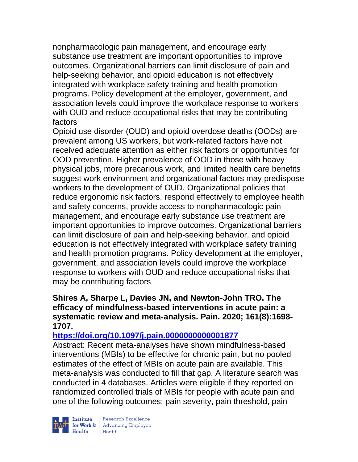nonpharmacologic pain management, and encourage early substance use treatment are important opportunities to improve outcomes. Organizational barriers can limit disclosure of pain and help-seeking behavior, and opioid education is not effectively integrated with workplace safety training and health promotion programs. Policy development at the employer, government, and association levels could improve the workplace response to workers with OUD and reduce occupational risks that may be contributing factors

Opioid use disorder (OUD) and opioid overdose deaths (OODs) are prevalent among US workers, but work-related factors have not received adequate attention as either risk factors or opportunities for OOD prevention. Higher prevalence of OOD in those with heavy physical jobs, more precarious work, and limited health care benefits suggest work environment and organizational factors may predispose workers to the development of OUD. Organizational policies that reduce ergonomic risk factors, respond effectively to employee health and safety concerns, provide access to nonpharmacologic pain management, and encourage early substance use treatment are important opportunities to improve outcomes. Organizational barriers can limit disclosure of pain and help-seeking behavior, and opioid education is not effectively integrated with workplace safety training and health promotion programs. Policy development at the employer, government, and association levels could improve the workplace response to workers with OUD and reduce occupational risks that may be contributing factors

#### **Shires A, Sharpe L, Davies JN, and Newton-John TRO. The efficacy of mindfulness-based interventions in acute pain: a systematic review and meta-analysis. Pain. 2020; 161(8):1698- 1707.**

### **<https://doi.org/10.1097/j.pain.0000000000001877>**

Abstract: Recent meta-analyses have shown mindfulness-based interventions (MBIs) to be effective for chronic pain, but no pooled estimates of the effect of MBIs on acute pain are available. This meta-analysis was conducted to fill that gap. A literature search was conducted in 4 databases. Articles were eligible if they reported on randomized controlled trials of MBIs for people with acute pain and one of the following outcomes: pain severity, pain threshold, pain



| Research Excellence for Work & Advancing Employee<br>Health Health